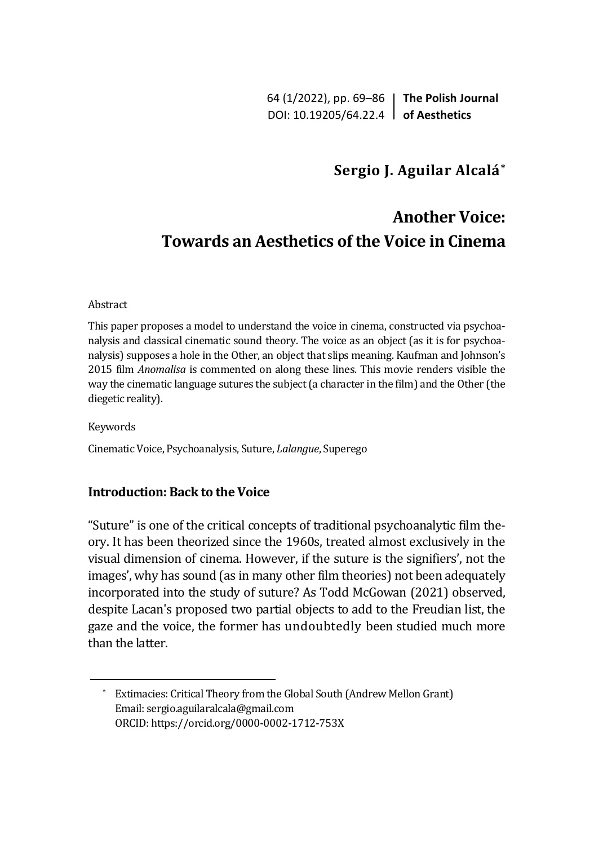64 (1/2022), pp. 69–86 **The Polish Journal** DOI: 10.19205/64.22.4 **of Aesthetics**

## **Sergio J. Aguilar Alcalá\***

# **Another Voice: Towards an Aesthetics of the Voice in Cinema**

#### Abstract

This paper proposes a model to understand the voice in cinema, constructed via psychoanalysis and classical cinematic sound theory. The voice as an object (as it is for psychoanalysis) supposes a hole in the Other, an object that slips meaning. Kaufman and Johnson's 2015 film *Anomalisa* is commented on along these lines. This movie renders visible the way the cinematic language sutures the subject (a character in the film) and the Other (the diegetic reality).

Keywords

Cinematic Voice, Psychoanalysis, Suture, *Lalangue*, Superego

### **Introduction: Back to the Voice**

"Suture" is one of the critical concepts of traditional psychoanalytic film theory. It has been theorized since the 1960s, treated almost exclusively in the visual dimension of cinema. However, if the suture is the signifiers', not the images', why has sound (as in many other film theories) not been adequately incorporated into the study of suture? As Todd McGowan (2021) observed, despite Lacan's proposed two partial objects to add to the Freudian list, the gaze and the voice, the former has undoubtedly been studied much more than the latter.

<sup>\*</sup> Extimacies: Critical Theory from the Global South (Andrew Mellon Grant) Email: sergio.aguilaralcala@gmail.com ORCID: https://orcid.org/0000-0002-1712-753X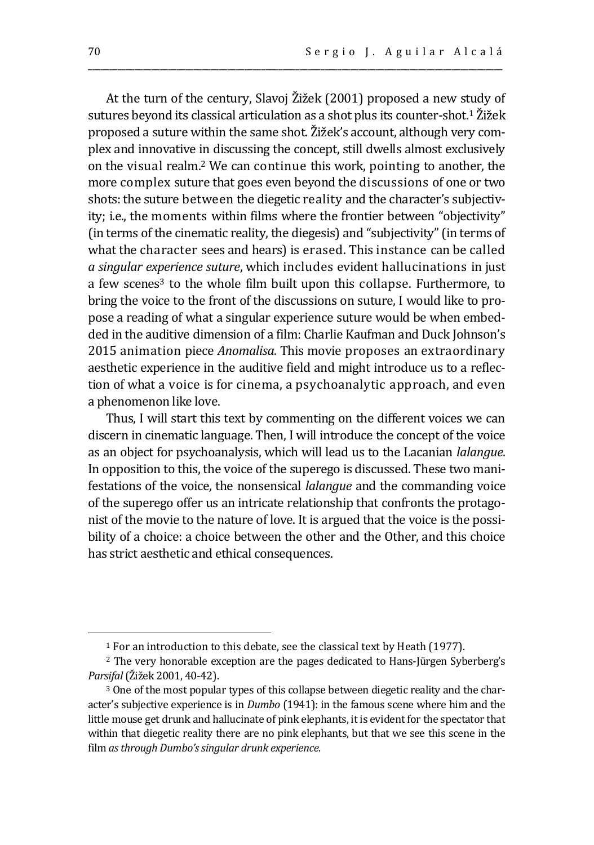At the turn of the century, Slavoj Žižek (2001) proposed a new study of sutures beyond its classical articulation as a shot plus its counter-shot.<sup>1</sup> Žižek proposed a suture within the same shot. Žižek's account, although very complex and innovative in discussing the concept, still dwells almost exclusively on the visual realm.<sup>2</sup> We can continue this work, pointing to another, the more complex suture that goes even beyond the discussions of one or two shots: the suture between the diegetic reality and the character's subjectivity; i.e., the moments within films where the frontier between "objectivity" (in terms of the cinematic reality, the diegesis) and "subjectivity" (in terms of what the character sees and hears) is erased. This instance can be called *a singular experience suture*, which includes evident hallucinations in just a few scenes<sup>3</sup> to the whole film built upon this collapse. Furthermore, to bring the voice to the front of the discussions on suture, I would like to propose a reading of what a singular experience suture would be when embedded in the auditive dimension of a film: Charlie Kaufman and Duck Johnson's 2015 animation piece *Anomalisa*. This movie proposes an extraordinary aesthetic experience in the auditive field and might introduce us to a reflection of what a voice is for cinema, a psychoanalytic approach, and even a phenomenon like love.

\_\_\_\_\_\_\_\_\_\_\_\_\_\_\_\_\_\_\_\_\_\_\_\_\_\_\_\_\_\_\_\_\_\_\_\_\_\_\_\_\_\_\_\_\_\_\_\_\_\_\_\_\_\_\_\_\_\_\_\_\_\_\_\_\_\_\_\_\_\_\_\_\_\_\_\_\_\_\_\_\_\_\_\_\_\_\_\_\_\_\_\_\_\_\_\_\_\_

Thus, I will start this text by commenting on the different voices we can discern in cinematic language. Then, I will introduce the concept of the voice as an object for psychoanalysis, which will lead us to the Lacanian *lalangue*. In opposition to this, the voice of the superego is discussed. These two manifestations of the voice, the nonsensical *lalangue* and the commanding voice of the superego offer us an intricate relationship that confronts the protagonist of the movie to the nature of love. It is argued that the voice is the possibility of a choice: a choice between the other and the Other, and this choice has strict aesthetic and ethical consequences.

<sup>&</sup>lt;sup>1</sup> For an introduction to this debate, see the classical text by Heath (1977).

<sup>2</sup> The very honorable exception are the pages dedicated to Hans-Jürgen Syberberg's *Parsifal*(Žižek 2001, 40-42).

<sup>&</sup>lt;sup>3</sup> One of the most popular types of this collapse between diegetic reality and the character's subjective experience is in *Dumbo* (1941): in the famous scene where him and the little mouse get drunk and hallucinate of pink elephants, it is evident for the spectator that within that diegetic reality there are no pink elephants, but that we see this scene in the film *as through Dumbo's singular drunk experience*.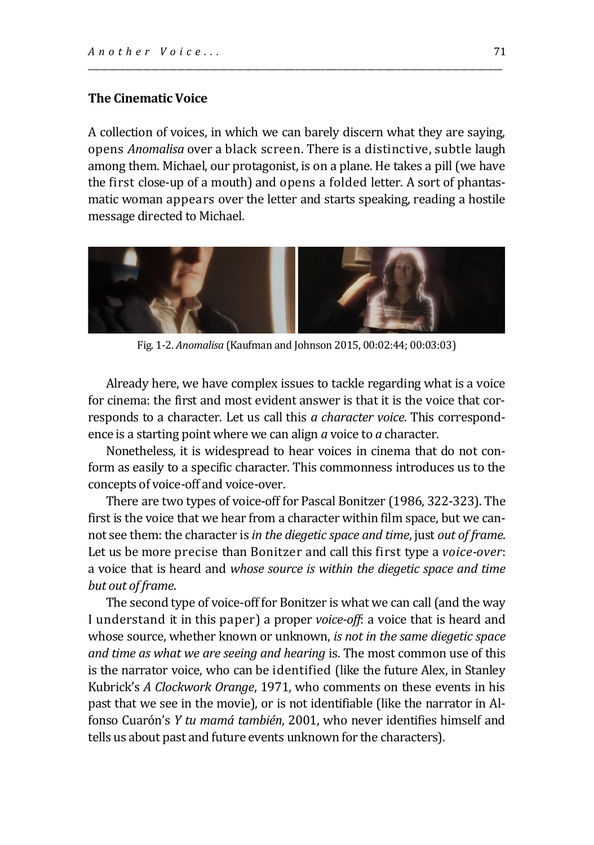#### **The Cinematic Voice**

A collection of voices, in which we can barely discern what they are saying, opens *Anomalisa* over a black screen. There is a distinctive, subtle laugh among them. Michael, our protagonist, is on a plane. He takes a pill (we have the first close-up of a mouth) and opens a folded letter. A sort of phantasmatic woman appears over the letter and starts speaking, reading a hostile message directed to Michael.

\_\_\_\_\_\_\_\_\_\_\_\_\_\_\_\_\_\_\_\_\_\_\_\_\_\_\_\_\_\_\_\_\_\_\_\_\_\_\_\_\_\_\_\_\_\_\_\_\_\_\_\_\_\_\_\_\_\_\_\_\_\_\_\_\_\_\_\_\_\_\_\_\_\_\_\_\_\_\_\_\_\_\_\_\_\_\_\_\_\_\_\_\_\_\_\_\_\_



Fig. 1-2. *Anomalisa* (Kaufman and Johnson 2015, 00:02:44; 00:03:03)

Already here, we have complex issues to tackle regarding what is a voice for cinema: the first and most evident answer is that it is the voice that corresponds to a character. Let us call this *a character voice*. This correspondence is a starting point where we can align *a* voice to *a* character.

Nonetheless, it is widespread to hear voices in cinema that do not conform as easily to a specific character. This commonness introduces us to the concepts of voice-off and voice-over.

There are two types of voice-off for Pascal Bonitzer (1986, 322-323). The first is the voice that we hear from a character within film space, but we cannot see them: the character is *in the diegetic space and time*, just *out of frame*. Let us be more precise than Bonitzer and call this first type a *voice-over*: a voice that is heard and *whose source is within the diegetic space and time but out of frame*.

The second type of voice-off for Bonitzer is what we can call (and the way I understand it in this paper) a proper *voice-off*: a voice that is heard and whose source, whether known or unknown, *is not in the same diegetic space and time as what we are seeing and hearing* is. The most common use of this is the narrator voice, who can be identified (like the future Alex, in Stanley Kubrick's *A Clockwork Orange*, 1971, who comments on these events in his past that we see in the movie), or is not identifiable (like the narrator in Alfonso Cuarón's *Y tu mamá también*, 2001, who never identifies himself and tells us about past and future events unknown for the characters).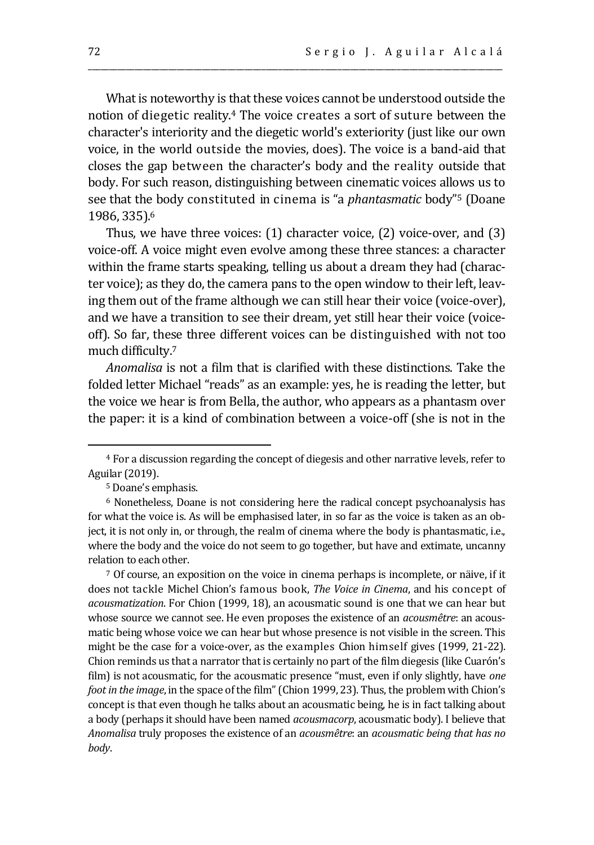What is noteworthy is that these voices cannot be understood outside the notion of diegetic reality.<sup>4</sup> The voice creates a sort of suture between the character's interiority and the diegetic world's exteriority (just like our own voice, in the world outside the movies, does). The voice is a band-aid that closes the gap between the character's body and the reality outside that body. For such reason, distinguishing between cinematic voices allows us to see that the body constituted in cinema is "a *phantasmatic* body"<sup>5</sup> (Doane 1986, 335).<sup>6</sup>

\_\_\_\_\_\_\_\_\_\_\_\_\_\_\_\_\_\_\_\_\_\_\_\_\_\_\_\_\_\_\_\_\_\_\_\_\_\_\_\_\_\_\_\_\_\_\_\_\_\_\_\_\_\_\_\_\_\_\_\_\_\_\_\_\_\_\_\_\_\_\_\_\_\_\_\_\_\_\_\_\_\_\_\_\_\_\_\_\_\_\_\_\_\_\_\_\_\_

Thus, we have three voices: (1) character voice, (2) voice-over, and (3) voice-off. A voice might even evolve among these three stances: a character within the frame starts speaking, telling us about a dream they had (character voice); as they do, the camera pans to the open window to their left, leaving them out of the frame although we can still hear their voice (voice-over), and we have a transition to see their dream, yet still hear their voice (voiceoff). So far, these three different voices can be distinguished with not too much difficulty.<sup>7</sup>

*Anomalisa* is not a film that is clarified with these distinctions. Take the folded letter Michael "reads" as an example: yes, he is reading the letter, but the voice we hear is from Bella, the author, who appears as a phantasm over the paper: it is a kind of combination between a voice-off (she is not in the

<sup>7</sup> Of course, an exposition on the voice in cinema perhaps is incomplete, or näive, if it does not tackle Michel Chion's famous book, *The Voice in Cinema*, and his concept of *acousmatization*. For Chion (1999, 18), an acousmatic sound is one that we can hear but whose source we cannot see. He even proposes the existence of an *acousmêtre*: an acousmatic being whose voice we can hear but whose presence is not visible in the screen. This might be the case for a voice-over, as the examples Chion himself gives (1999, 21-22). Chion reminds us that a narrator that is certainly no part of the film diegesis (like Cuarón's film) is not acousmatic, for the acousmatic presence "must, even if only slightly, have *one foot in the image*, in the space of the film" (Chion 1999, 23). Thus, the problem with Chion's concept is that even though he talks about an acousmatic being, he is in fact talking about a body (perhaps it should have been named *acousmacorp*, acousmatic body). I believe that *Anomalisa* truly proposes the existence of an *acousmêtre*: an *acousmatic being that has no body*.

<sup>4</sup> For a discussion regarding the concept of diegesis and other narrative levels, refer to Aguilar (2019).

<sup>5</sup> Doane's emphasis.

<sup>6</sup> Nonetheless, Doane is not considering here the radical concept psychoanalysis has for what the voice is. As will be emphasised later, in so far as the voice is taken as an object, it is not only in, or through, the realm of cinema where the body is phantasmatic, i.e., where the body and the voice do not seem to go together, but have and extimate, uncanny relation to each other.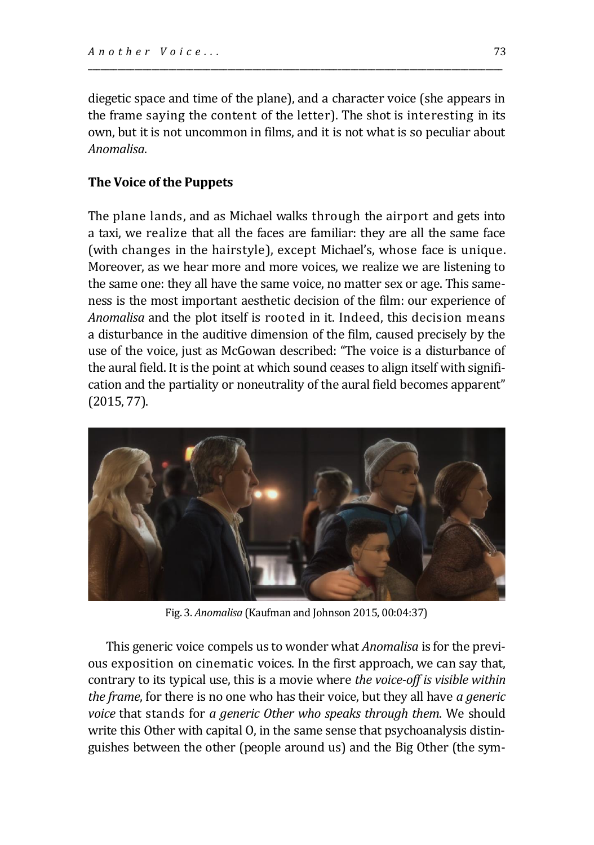diegetic space and time of the plane), and a character voice (she appears in the frame saying the content of the letter). The shot is interesting in its own, but it is not uncommon in films, and it is not what is so peculiar about *Anomalisa*.

\_\_\_\_\_\_\_\_\_\_\_\_\_\_\_\_\_\_\_\_\_\_\_\_\_\_\_\_\_\_\_\_\_\_\_\_\_\_\_\_\_\_\_\_\_\_\_\_\_\_\_\_\_\_\_\_\_\_\_\_\_\_\_\_\_\_\_\_\_\_\_\_\_\_\_\_\_\_\_\_\_\_\_\_\_\_\_\_\_\_\_\_\_\_\_\_\_\_

#### **The Voice of the Puppets**

The plane lands, and as Michael walks through the airport and gets into a taxi, we realize that all the faces are familiar: they are all the same face (with changes in the hairstyle), except Michael's, whose face is unique. Moreover, as we hear more and more voices, we realize we are listening to the same one: they all have the same voice, no matter sex or age. This sameness is the most important aesthetic decision of the film: our experience of *Anomalisa* and the plot itself is rooted in it. Indeed, this decision means a disturbance in the auditive dimension of the film, caused precisely by the use of the voice, just as McGowan described: "The voice is a disturbance of the aural field. It is the point at which sound ceases to align itself with signification and the partiality or noneutrality of the aural field becomes apparent" (2015, 77).



Fig. 3. *Anomalisa* (Kaufman and Johnson 2015, 00:04:37)

This generic voice compels us to wonder what *Anomalisa* is for the previous exposition on cinematic voices. In the first approach, we can say that, contrary to its typical use, this is a movie where *the voice-off is visible within the frame*, for there is no one who has their voice, but they all have *a generic voice* that stands for *a generic Other who speaks through them*. We should write this Other with capital O, in the same sense that psychoanalysis distinguishes between the other (people around us) and the Big Other (the sym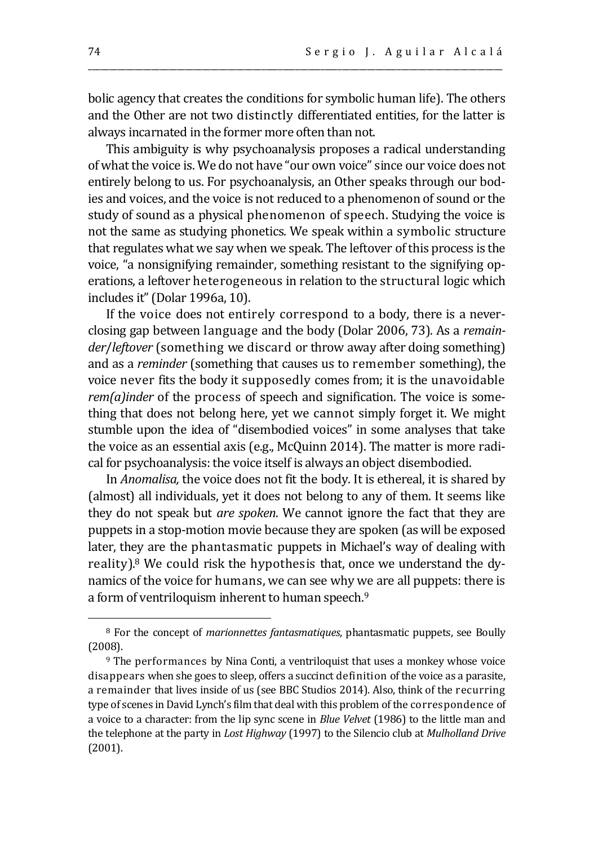bolic agency that creates the conditions for symbolic human life). The others and the Other are not two distinctly differentiated entities, for the latter is always incarnated in the former more often than not.

\_\_\_\_\_\_\_\_\_\_\_\_\_\_\_\_\_\_\_\_\_\_\_\_\_\_\_\_\_\_\_\_\_\_\_\_\_\_\_\_\_\_\_\_\_\_\_\_\_\_\_\_\_\_\_\_\_\_\_\_\_\_\_\_\_\_\_\_\_\_\_\_\_\_\_\_\_\_\_\_\_\_\_\_\_\_\_\_\_\_\_\_\_\_\_\_\_\_

This ambiguity is why psychoanalysis proposes a radical understanding of what the voice is. We do not have "our own voice" since our voice does not entirely belong to us. For psychoanalysis, an Other speaks through our bodies and voices, and the voice is not reduced to a phenomenon of sound or the study of sound as a physical phenomenon of speech. Studying the voice is not the same as studying phonetics. We speak within a symbolic structure that regulates what we say when we speak. The leftover of this process is the voice, "a nonsignifying remainder, something resistant to the signifying operations, a leftover heterogeneous in relation to the structural logic which includes it" (Dolar 1996a, 10).

If the voice does not entirely correspond to a body, there is a neverclosing gap between language and the body (Dolar 2006, 73). As a *remainder*/*leftover* (something we discard or throw away after doing something) and as a *reminder* (something that causes us to remember something), the voice never fits the body it supposedly comes from; it is the unavoidable *rem(a)inder* of the process of speech and signification. The voice is something that does not belong here, yet we cannot simply forget it. We might stumble upon the idea of "disembodied voices" in some analyses that take the voice as an essential axis (e.g., McQuinn 2014). The matter is more radical for psychoanalysis: the voice itself is always an object disembodied.

In *Anomalisa,* the voice does not fit the body. It is ethereal, it is shared by (almost) all individuals, yet it does not belong to any of them. It seems like they do not speak but *are spoken*. We cannot ignore the fact that they are puppets in a stop-motion movie because they are spoken (as will be exposed later, they are the phantasmatic puppets in Michael's way of dealing with reality).<sup>8</sup> We could risk the hypothesis that, once we understand the dynamics of the voice for humans, we can see why we are all puppets: there is a form of ventriloquism inherent to human speech.<sup>9</sup>

<sup>8</sup> For the concept of *marionnettes fantasmatiques*, phantasmatic puppets, see Boully (2008).

<sup>9</sup> The performances by Nina Conti, a ventriloquist that uses a monkey whose voice disappears when she goes to sleep, offers a succinct definition of the voice as a parasite, a remainder that lives inside of us (see BBC Studios 2014). Also, think of the recurring type of scenes in David Lynch's film that deal with this problem of the correspondence of a voice to a character: from the lip sync scene in *Blue Velvet* (1986) to the little man and the telephone at the party in *Lost Highway* (1997) to the Silencio club at *Mulholland Drive* (2001).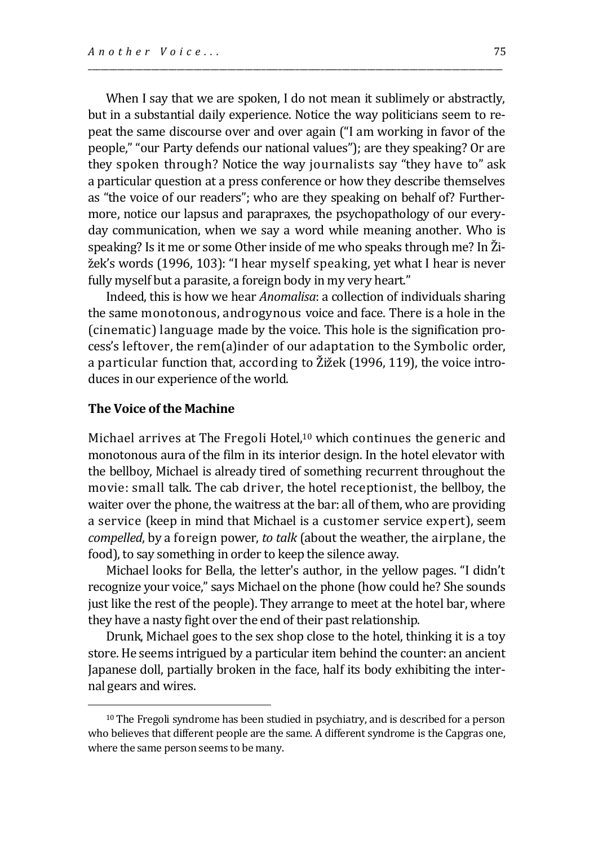When I say that we are spoken, I do not mean it sublimely or abstractly, but in a substantial daily experience. Notice the way politicians seem to repeat the same discourse over and over again ("I am working in favor of the people," "our Party defends our national values"); are they speaking? Or are they spoken through? Notice the way journalists say "they have to" ask a particular question at a press conference or how they describe themselves as "the voice of our readers"; who are they speaking on behalf of? Furthermore, notice our lapsus and parapraxes, the psychopathology of our everyday communication, when we say a word while meaning another. Who is speaking? Is it me or some Other inside of me who speaks through me? In Žižek's words (1996, 103): "I hear myself speaking, yet what I hear is never fully myself but a parasite, a foreign body in my very heart."

\_\_\_\_\_\_\_\_\_\_\_\_\_\_\_\_\_\_\_\_\_\_\_\_\_\_\_\_\_\_\_\_\_\_\_\_\_\_\_\_\_\_\_\_\_\_\_\_\_\_\_\_\_\_\_\_\_\_\_\_\_\_\_\_\_\_\_\_\_\_\_\_\_\_\_\_\_\_\_\_\_\_\_\_\_\_\_\_\_\_\_\_\_\_\_\_\_\_

Indeed, this is how we hear *Anomalisa*: a collection of individuals sharing the same monotonous, androgynous voice and face. There is a hole in the (cinematic) language made by the voice. This hole is the signification process's leftover, the rem(a)inder of our adaptation to the Symbolic order, a particular function that, according to Žižek (1996, 119), the voice introduces in our experience of the world.

#### **The Voice of the Machine**

Michael arrives at The Fregoli Hotel,<sup>10</sup> which continues the generic and monotonous aura of the film in its interior design. In the hotel elevator with the bellboy, Michael is already tired of something recurrent throughout the movie: small talk. The cab driver, the hotel receptionist, the bellboy, the waiter over the phone, the waitress at the bar: all of them, who are providing a service (keep in mind that Michael is a customer service expert), seem *compelled*, by a foreign power, *to talk* (about the weather, the airplane, the food), to say something in order to keep the silence away.

Michael looks for Bella, the letter's author, in the yellow pages. "I didn't recognize your voice," says Michael on the phone (how could he? She sounds just like the rest of the people). They arrange to meet at the hotel bar, where they have a nasty fight over the end of their past relationship.

Drunk, Michael goes to the sex shop close to the hotel, thinking it is a toy store. He seems intrigued by a particular item behind the counter: an ancient Japanese doll, partially broken in the face, half its body exhibiting the internal gears and wires.

<sup>10</sup> The Fregoli syndrome has been studied in psychiatry, and is described for a person who believes that different people are the same. A different syndrome is the Capgras one, where the same person seems to be many.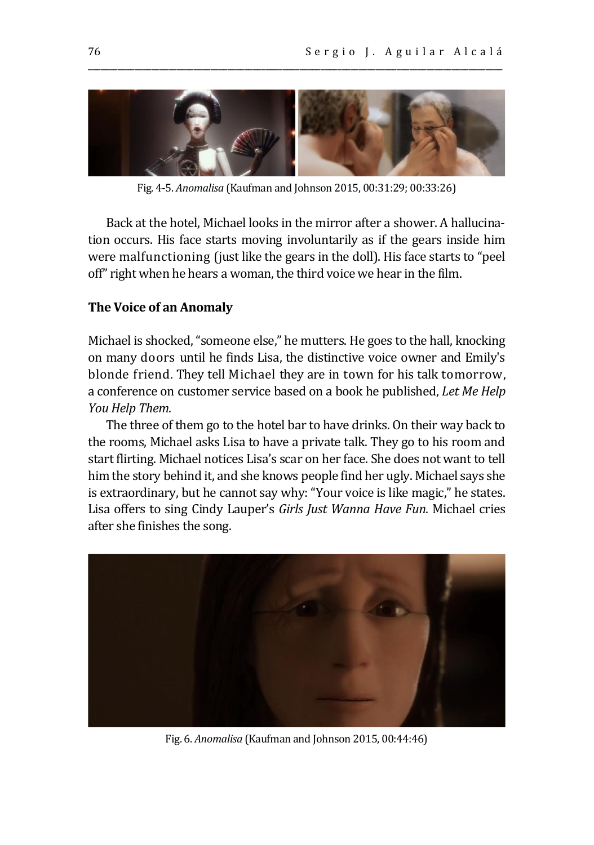

\_\_\_\_\_\_\_\_\_\_\_\_\_\_\_\_\_\_\_\_\_\_\_\_\_\_\_\_\_\_\_\_\_\_\_\_\_\_\_\_\_\_\_\_\_\_\_\_\_\_\_\_\_\_\_\_\_\_\_\_\_\_\_\_\_\_\_\_\_\_\_\_\_\_\_\_\_\_\_\_\_\_\_\_\_\_\_\_\_\_\_\_\_\_\_\_\_\_

Fig. 4-5. *Anomalisa* (Kaufman and Johnson 2015, 00:31:29; 00:33:26)

Back at the hotel, Michael looks in the mirror after a shower. A hallucination occurs. His face starts moving involuntarily as if the gears inside him were malfunctioning (just like the gears in the doll). His face starts to "peel off" right when he hears a woman, the third voice we hear in the film.

#### **The Voice of an Anomaly**

Michael is shocked, "someone else," he mutters. He goes to the hall, knocking on many doors until he finds Lisa, the distinctive voice owner and Emily's blonde friend. They tell Michael they are in town for his talk tomorrow, a conference on customer service based on a book he published, *Let Me Help You Help Them*.

The three of them go to the hotel bar to have drinks. On their way back to the rooms, Michael asks Lisa to have a private talk. They go to his room and start flirting. Michael notices Lisa's scar on her face. She does not want to tell him the story behind it, and she knows people find her ugly. Michael says she is extraordinary, but he cannot say why: "Your voice is like magic," he states. Lisa offers to sing Cindy Lauper's *Girls Just Wanna Have Fun*. Michael cries after she finishes the song.



Fig. 6. *Anomalisa* (Kaufman and Johnson 2015, 00:44:46)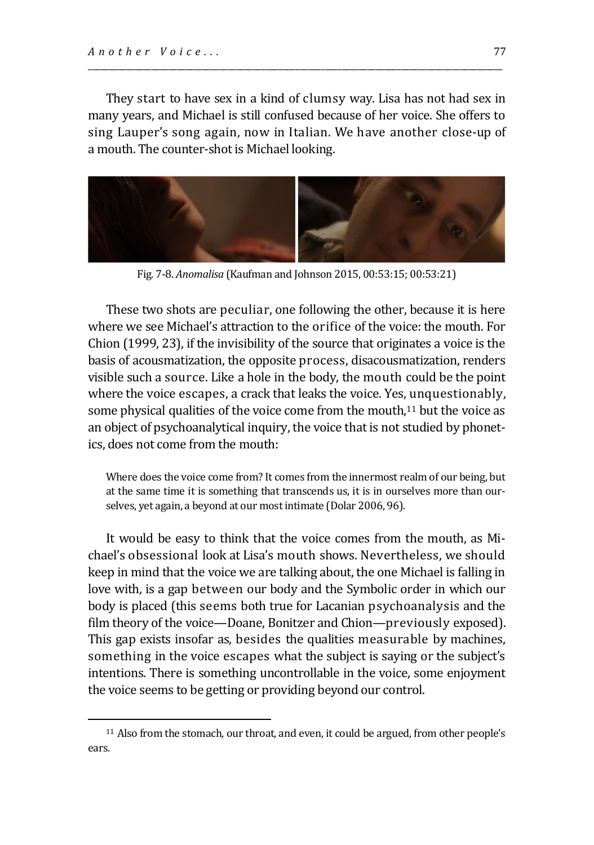They start to have sex in a kind of clumsy way. Lisa has not had sex in many years, and Michael is still confused because of her voice. She offers to sing Lauper's song again, now in Italian. We have another close-up of a mouth. The counter-shot is Michael looking.

\_\_\_\_\_\_\_\_\_\_\_\_\_\_\_\_\_\_\_\_\_\_\_\_\_\_\_\_\_\_\_\_\_\_\_\_\_\_\_\_\_\_\_\_\_\_\_\_\_\_\_\_\_\_\_\_\_\_\_\_\_\_\_\_\_\_\_\_\_\_\_\_\_\_\_\_\_\_\_\_\_\_\_\_\_\_\_\_\_\_\_\_\_\_\_\_\_\_



Fig. 7-8. *Anomalisa* (Kaufman and Johnson 2015, 00:53:15; 00:53:21)

These two shots are peculiar, one following the other, because it is here where we see Michael's attraction to the orifice of the voice: the mouth. For Chion (1999, 23), if the invisibility of the source that originates a voice is the basis of acousmatization, the opposite process, disacousmatization, renders visible such a source. Like a hole in the body, the mouth could be the point where the voice escapes, a crack that leaks the voice. Yes, unquestionably, some physical qualities of the voice come from the mouth,<sup>11</sup> but the voice as an object of psychoanalytical inquiry, the voice that is not studied by phonetics, does not come from the mouth:

Where does the voice come from? It comes from the innermost realm of our being, but at the same time it is something that transcends us, it is in ourselves more than ourselves, yet again, a beyond at our most intimate (Dolar 2006, 96).

It would be easy to think that the voice comes from the mouth, as Michael's obsessional look at Lisa's mouth shows. Nevertheless, we should keep in mind that the voice we are talking about, the one Michael is falling in love with, is a gap between our body and the Symbolic order in which our body is placed (this seems both true for Lacanian psychoanalysis and the film theory of the voice—Doane, Bonitzer and Chion—previously exposed). This gap exists insofar as, besides the qualities measurable by machines, something in the voice escapes what the subject is saying or the subject's intentions. There is something uncontrollable in the voice, some enjoyment the voice seems to be getting or providing beyond our control.

<sup>11</sup> Also from the stomach, our throat, and even, it could be argued, from other people's ears.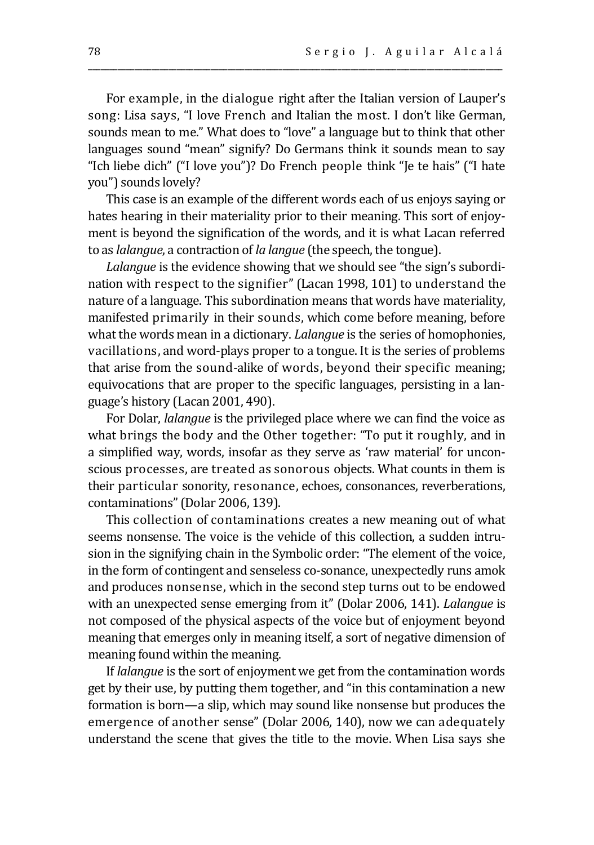For example, in the dialogue right after the Italian version of Lauper's song: Lisa says, "I love French and Italian the most. I don't like German, sounds mean to me." What does to "love" a language but to think that other languages sound "mean" signify? Do Germans think it sounds mean to say "Ich liebe dich" ("I love you")? Do French people think "Je te hais" ("I hate you") sounds lovely?

\_\_\_\_\_\_\_\_\_\_\_\_\_\_\_\_\_\_\_\_\_\_\_\_\_\_\_\_\_\_\_\_\_\_\_\_\_\_\_\_\_\_\_\_\_\_\_\_\_\_\_\_\_\_\_\_\_\_\_\_\_\_\_\_\_\_\_\_\_\_\_\_\_\_\_\_\_\_\_\_\_\_\_\_\_\_\_\_\_\_\_\_\_\_\_\_\_\_

This case is an example of the different words each of us enjoys saying or hates hearing in their materiality prior to their meaning. This sort of enjoyment is beyond the signification of the words, and it is what Lacan referred to as *lalangue*, a contraction of *la langue* (the speech, the tongue).

*Lalangue* is the evidence showing that we should see "the sign's subordination with respect to the signifier" (Lacan 1998, 101) to understand the nature of a language. This subordination means that words have materiality, manifested primarily in their sounds, which come before meaning, before what the words mean in a dictionary. *Lalangue* is the series of homophonies, vacillations, and word-plays proper to a tongue. It is the series of problems that arise from the sound-alike of words, beyond their specific meaning; equivocations that are proper to the specific languages, persisting in a language's history (Lacan 2001, 490).

For Dolar, *lalangue* is the privileged place where we can find the voice as what brings the body and the Other together: "To put it roughly, and in a simplified way, words, insofar as they serve as 'raw material' for unconscious processes, are treated as sonorous objects. What counts in them is their particular sonority, resonance, echoes, consonances, reverberations, contaminations" (Dolar 2006, 139).

This collection of contaminations creates a new meaning out of what seems nonsense. The voice is the vehicle of this collection, a sudden intrusion in the signifying chain in the Symbolic order: "The element of the voice, in the form of contingent and senseless co-sonance, unexpectedly runs amok and produces nonsense, which in the second step turns out to be endowed with an unexpected sense emerging from it" (Dolar 2006, 141). *Lalangue* is not composed of the physical aspects of the voice but of enjoyment beyond meaning that emerges only in meaning itself, a sort of negative dimension of meaning found within the meaning.

If *lalangue* is the sort of enjoyment we get from the contamination words get by their use, by putting them together, and "in this contamination a new formation is born—a slip, which may sound like nonsense but produces the emergence of another sense" (Dolar 2006, 140), now we can adequately understand the scene that gives the title to the movie. When Lisa says she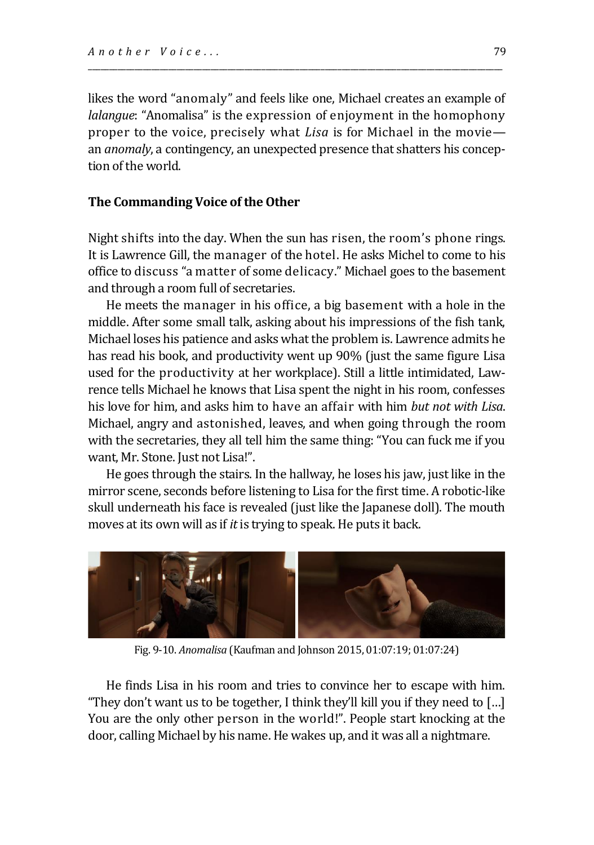likes the word "anomaly" and feels like one, Michael creates an example of *lalangue*: "Anomalisa" is the expression of enjoyment in the homophony proper to the voice, precisely what *Lisa* is for Michael in the movie an *anomaly*, a contingency, an unexpected presence that shatters his conception of the world.

\_\_\_\_\_\_\_\_\_\_\_\_\_\_\_\_\_\_\_\_\_\_\_\_\_\_\_\_\_\_\_\_\_\_\_\_\_\_\_\_\_\_\_\_\_\_\_\_\_\_\_\_\_\_\_\_\_\_\_\_\_\_\_\_\_\_\_\_\_\_\_\_\_\_\_\_\_\_\_\_\_\_\_\_\_\_\_\_\_\_\_\_\_\_\_\_\_\_

#### **The Commanding Voice of the Other**

Night shifts into the day. When the sun has risen, the room's phone rings. It is Lawrence Gill, the manager of the hotel. He asks Michel to come to his office to discuss "a matter of some delicacy." Michael goes to the basement and through a room full of secretaries.

He meets the manager in his office, a big basement with a hole in the middle. After some small talk, asking about his impressions of the fish tank, Michael loses his patience and asks what the problem is. Lawrence admits he has read his book, and productivity went up 90% (just the same figure Lisa used for the productivity at her workplace). Still a little intimidated, Lawrence tells Michael he knows that Lisa spent the night in his room, confesses his love for him, and asks him to have an affair with him *but not with Lisa*. Michael, angry and astonished, leaves, and when going through the room with the secretaries, they all tell him the same thing: "You can fuck me if you want, Mr. Stone. Just not Lisa!".

He goes through the stairs. In the hallway, he loses his jaw, just like in the mirror scene, seconds before listening to Lisa for the first time. A robotic-like skull underneath his face is revealed (just like the Japanese doll). The mouth moves at its own will as if *it* is trying to speak. He puts it back.



Fig. 9-10. *Anomalisa* (Kaufman and Johnson 2015, 01:07:19; 01:07:24)

He finds Lisa in his room and tries to convince her to escape with him. "They don't want us to be together, I think they'll kill you if they need to […] You are the only other person in the world!". People start knocking at the door, calling Michael by his name. He wakes up, and it was all a nightmare.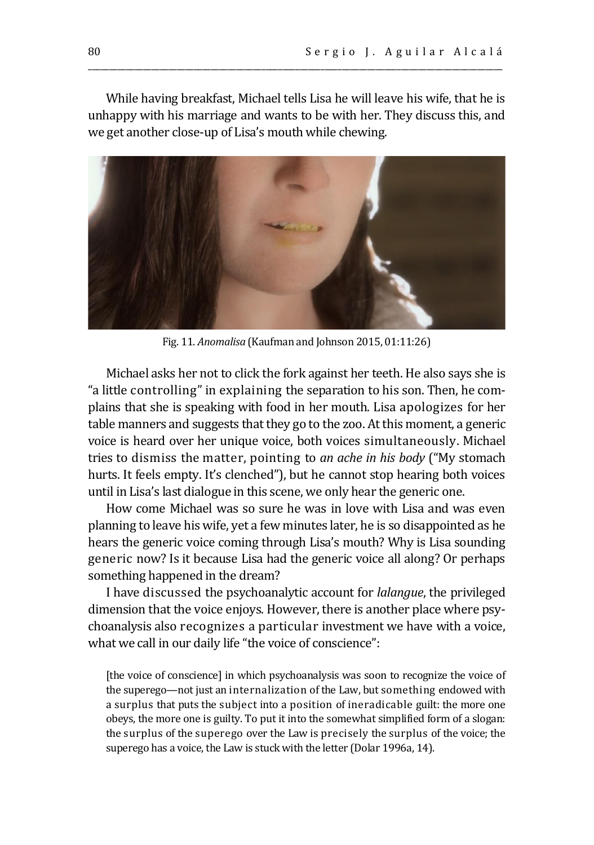While having breakfast, Michael tells Lisa he will leave his wife, that he is unhappy with his marriage and wants to be with her. They discuss this, and we get another close-up of Lisa's mouth while chewing.

\_\_\_\_\_\_\_\_\_\_\_\_\_\_\_\_\_\_\_\_\_\_\_\_\_\_\_\_\_\_\_\_\_\_\_\_\_\_\_\_\_\_\_\_\_\_\_\_\_\_\_\_\_\_\_\_\_\_\_\_\_\_\_\_\_\_\_\_\_\_\_\_\_\_\_\_\_\_\_\_\_\_\_\_\_\_\_\_\_\_\_\_\_\_\_\_\_\_



Fig. 11. *Anomalisa* (Kaufman and Johnson 2015, 01:11:26)

Michael asks her not to click the fork against her teeth. He also says she is "a little controlling" in explaining the separation to his son. Then, he complains that she is speaking with food in her mouth. Lisa apologizes for her table manners and suggests that they go to the zoo. At this moment, a generic voice is heard over her unique voice, both voices simultaneously. Michael tries to dismiss the matter, pointing to *an ache in his body* ("My stomach hurts. It feels empty. It's clenched"), but he cannot stop hearing both voices until in Lisa's last dialogue in this scene, we only hear the generic one.

How come Michael was so sure he was in love with Lisa and was even planning to leave his wife, yet a few minutes later, he is so disappointed as he hears the generic voice coming through Lisa's mouth? Why is Lisa sounding generic now? Is it because Lisa had the generic voice all along? Or perhaps something happened in the dream?

I have discussed the psychoanalytic account for *lalangue*, the privileged dimension that the voice enjoys. However, there is another place where psychoanalysis also recognizes a particular investment we have with a voice, what we call in our daily life "the voice of conscience":

[the voice of conscience] in which psychoanalysis was soon to recognize the voice of the superego—not just an internalization of the Law, but something endowed with a surplus that puts the subject into a position of ineradicable guilt: the more one obeys, the more one is guilty. To put it into the somewhat simplified form of a slogan: the surplus of the superego over the Law is precisely the surplus of the voice; the superego has a voice, the Law is stuck with the letter (Dolar 1996a, 14).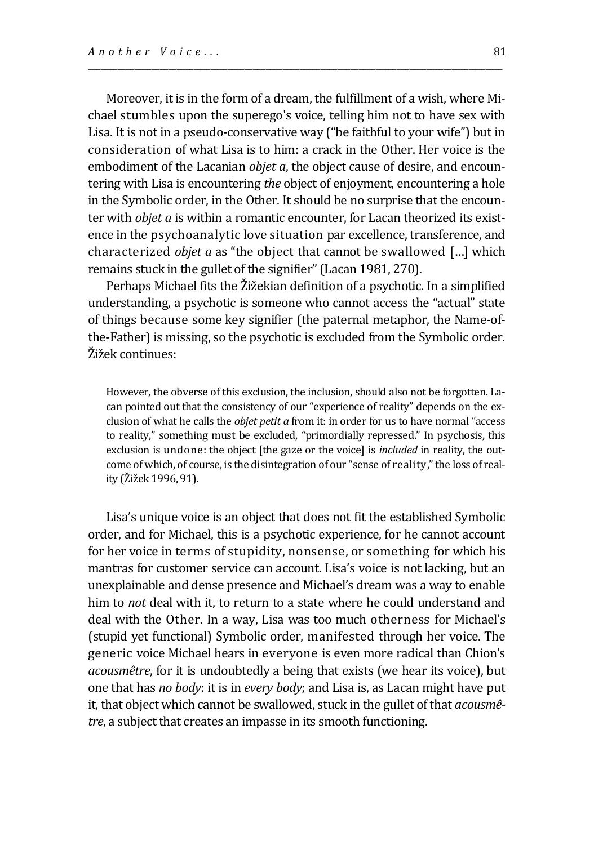Moreover, it is in the form of a dream, the fulfillment of a wish, where Michael stumbles upon the superego's voice, telling him not to have sex with Lisa. It is not in a pseudo-conservative way ("be faithful to your wife") but in consideration of what Lisa is to him: a crack in the Other. Her voice is the embodiment of the Lacanian *objet a*, the object cause of desire, and encountering with Lisa is encountering *the* object of enjoyment, encountering a hole in the Symbolic order, in the Other. It should be no surprise that the encounter with *objet a* is within a romantic encounter, for Lacan theorized its existence in the psychoanalytic love situation par excellence, transference, and characterized *objet a* as "the object that cannot be swallowed […] which remains stuck in the gullet of the signifier" (Lacan 1981, 270).

\_\_\_\_\_\_\_\_\_\_\_\_\_\_\_\_\_\_\_\_\_\_\_\_\_\_\_\_\_\_\_\_\_\_\_\_\_\_\_\_\_\_\_\_\_\_\_\_\_\_\_\_\_\_\_\_\_\_\_\_\_\_\_\_\_\_\_\_\_\_\_\_\_\_\_\_\_\_\_\_\_\_\_\_\_\_\_\_\_\_\_\_\_\_\_\_\_\_

Perhaps Michael fits the Žižekian definition of a psychotic. In a simplified understanding, a psychotic is someone who cannot access the "actual" state of things because some key signifier (the paternal metaphor, the Name-ofthe-Father) is missing, so the psychotic is excluded from the Symbolic order. Žižek continues:

However, the obverse of this exclusion, the inclusion, should also not be forgotten. Lacan pointed out that the consistency of our "experience of reality" depends on the exclusion of what he calls the *objet petit a* from it: in order for us to have normal "access to reality," something must be excluded, "primordially repressed." In psychosis, this exclusion is undone: the object [the gaze or the voice] is *included* in reality, the outcome of which, of course, is the disintegration of our "sense of reality," the loss of reality (Žižek 1996, 91).

Lisa's unique voice is an object that does not fit the established Symbolic order, and for Michael, this is a psychotic experience, for he cannot account for her voice in terms of stupidity, nonsense, or something for which his mantras for customer service can account. Lisa's voice is not lacking, but an unexplainable and dense presence and Michael's dream was a way to enable him to *not* deal with it, to return to a state where he could understand and deal with the Other. In a way, Lisa was too much otherness for Michael's (stupid yet functional) Symbolic order, manifested through her voice. The generic voice Michael hears in everyone is even more radical than Chion's *acousmêtre*, for it is undoubtedly a being that exists (we hear its voice), but one that has *no body*: it is in *every body*; and Lisa is, as Lacan might have put it, that object which cannot be swallowed, stuck in the gullet of that *acousmêtre*, a subject that creates an impasse in its smooth functioning.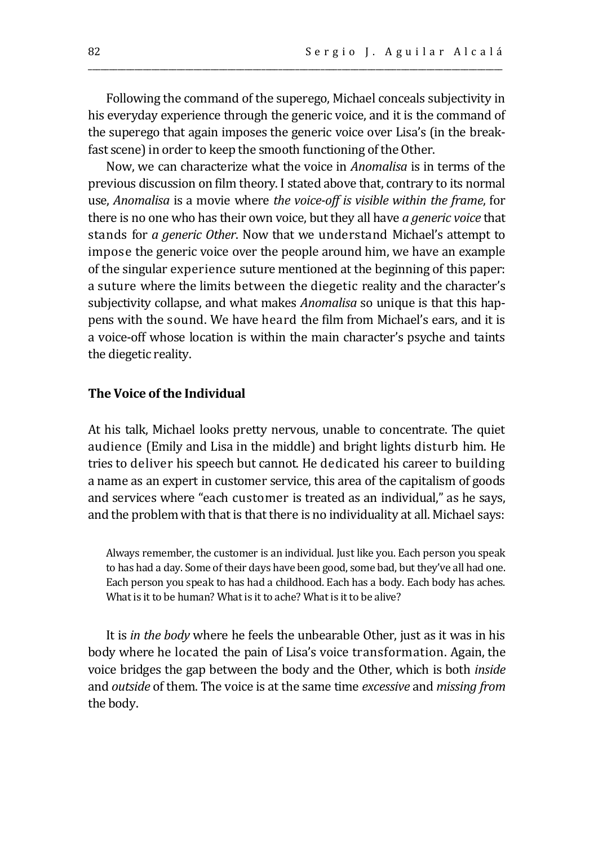Following the command of the superego, Michael conceals subjectivity in his everyday experience through the generic voice, and it is the command of the superego that again imposes the generic voice over Lisa's (in the breakfast scene) in order to keep the smooth functioning of the Other.

\_\_\_\_\_\_\_\_\_\_\_\_\_\_\_\_\_\_\_\_\_\_\_\_\_\_\_\_\_\_\_\_\_\_\_\_\_\_\_\_\_\_\_\_\_\_\_\_\_\_\_\_\_\_\_\_\_\_\_\_\_\_\_\_\_\_\_\_\_\_\_\_\_\_\_\_\_\_\_\_\_\_\_\_\_\_\_\_\_\_\_\_\_\_\_\_\_\_

Now, we can characterize what the voice in *Anomalisa* is in terms of the previous discussion on film theory. I stated above that, contrary to its normal use, *Anomalisa* is a movie where *the voice-off is visible within the frame*, for there is no one who has their own voice, but they all have *a generic voice* that stands for *a generic Other*. Now that we understand Michael's attempt to impose the generic voice over the people around him, we have an example of the singular experience suture mentioned at the beginning of this paper: a suture where the limits between the diegetic reality and the character's subjectivity collapse, and what makes *Anomalisa* so unique is that this happens with the sound. We have heard the film from Michael's ears, and it is a voice-off whose location is within the main character's psyche and taints the diegetic reality.

#### **The Voice of the Individual**

At his talk, Michael looks pretty nervous, unable to concentrate. The quiet audience (Emily and Lisa in the middle) and bright lights disturb him. He tries to deliver his speech but cannot. He dedicated his career to building a name as an expert in customer service, this area of the capitalism of goods and services where "each customer is treated as an individual," as he says, and the problem with that is that there is no individuality at all. Michael says:

Always remember, the customer is an individual. Just like you. Each person you speak to has had a day. Some of their days have been good, some bad, but they've all had one. Each person you speak to has had a childhood. Each has a body. Each body has aches. What is it to be human? What is it to ache? What is it to be alive?

It is *in the body* where he feels the unbearable Other, just as it was in his body where he located the pain of Lisa's voice transformation. Again, the voice bridges the gap between the body and the Other, which is both *inside* and *outside* of them. The voice is at the same time *excessive* and *missing from* the body.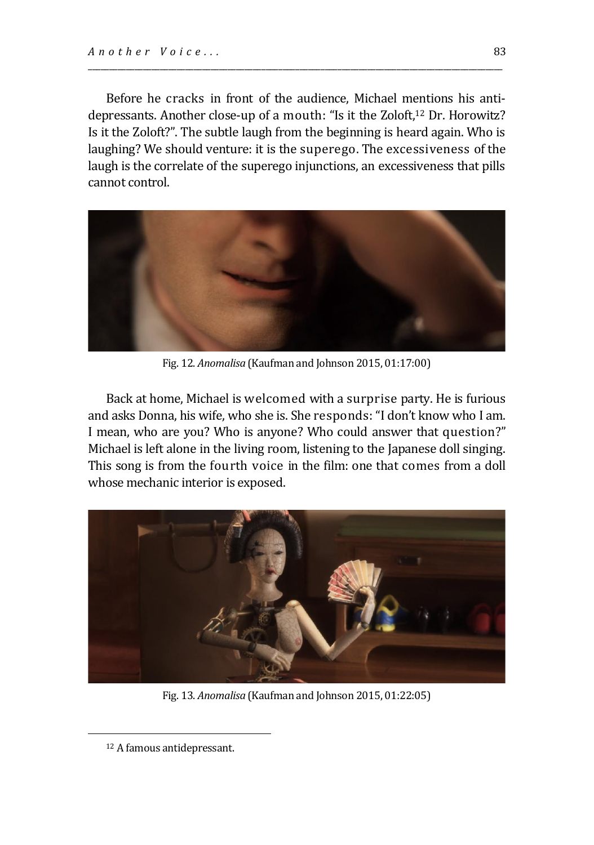Before he cracks in front of the audience, Michael mentions his antidepressants. Another close-up of a mouth: "Is it the Zoloft,<sup>12</sup> Dr. Horowitz? Is it the Zoloft?". The subtle laugh from the beginning is heard again. Who is laughing? We should venture: it is the superego. The excessiveness of the laugh is the correlate of the superego injunctions, an excessiveness that pills cannot control.

\_\_\_\_\_\_\_\_\_\_\_\_\_\_\_\_\_\_\_\_\_\_\_\_\_\_\_\_\_\_\_\_\_\_\_\_\_\_\_\_\_\_\_\_\_\_\_\_\_\_\_\_\_\_\_\_\_\_\_\_\_\_\_\_\_\_\_\_\_\_\_\_\_\_\_\_\_\_\_\_\_\_\_\_\_\_\_\_\_\_\_\_\_\_\_\_\_\_



Fig. 12. *Anomalisa* (Kaufman and Johnson 2015, 01:17:00)

Back at home, Michael is welcomed with a surprise party. He is furious and asks Donna, his wife, who she is. She responds: "I don't know who I am. I mean, who are you? Who is anyone? Who could answer that question?" Michael is left alone in the living room, listening to the Japanese doll singing. This song is from the fourth voice in the film: one that comes from a doll whose mechanic interior is exposed.



Fig. 13. *Anomalisa* (Kaufman and Johnson 2015, 01:22:05)

<sup>12</sup> A famous antidepressant.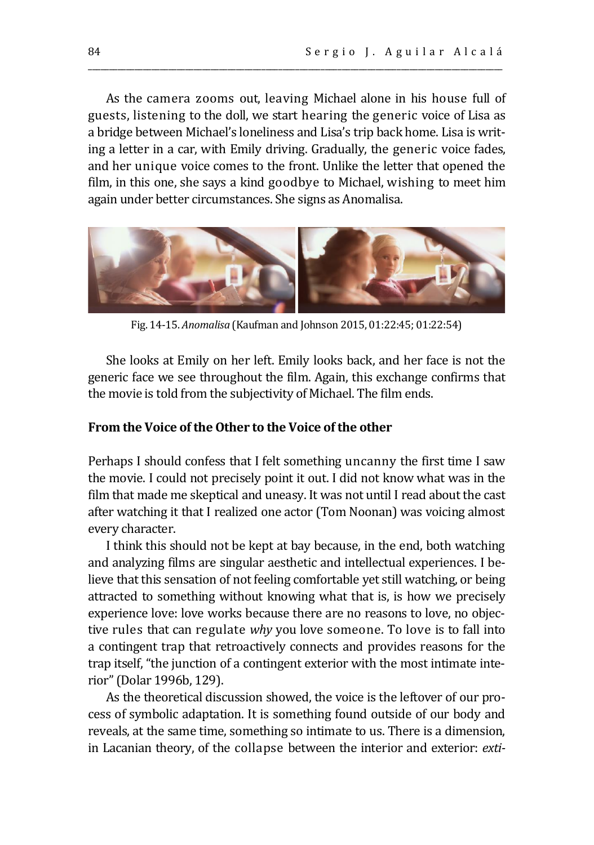As the camera zooms out, leaving Michael alone in his house full of guests, listening to the doll, we start hearing the generic voice of Lisa as a bridge between Michael's loneliness and Lisa's trip back home. Lisa is writing a letter in a car, with Emily driving. Gradually, the generic voice fades, and her unique voice comes to the front. Unlike the letter that opened the film, in this one, she says a kind goodbye to Michael, wishing to meet him again under better circumstances. She signs as Anomalisa.

\_\_\_\_\_\_\_\_\_\_\_\_\_\_\_\_\_\_\_\_\_\_\_\_\_\_\_\_\_\_\_\_\_\_\_\_\_\_\_\_\_\_\_\_\_\_\_\_\_\_\_\_\_\_\_\_\_\_\_\_\_\_\_\_\_\_\_\_\_\_\_\_\_\_\_\_\_\_\_\_\_\_\_\_\_\_\_\_\_\_\_\_\_\_\_\_\_\_



Fig. 14-15. *Anomalisa* (Kaufman and Johnson 2015, 01:22:45; 01:22:54)

She looks at Emily on her left. Emily looks back, and her face is not the generic face we see throughout the film. Again, this exchange confirms that the movie is told from the subjectivity of Michael. The film ends.

#### **From the Voice of the Other to the Voice of the other**

Perhaps I should confess that I felt something uncanny the first time I saw the movie. I could not precisely point it out. I did not know what was in the film that made me skeptical and uneasy. It was not until I read about the cast after watching it that I realized one actor (Tom Noonan) was voicing almost every character.

I think this should not be kept at bay because, in the end, both watching and analyzing films are singular aesthetic and intellectual experiences. I believe that this sensation of not feeling comfortable yet still watching, or being attracted to something without knowing what that is, is how we precisely experience love: love works because there are no reasons to love, no objective rules that can regulate *why* you love someone. To love is to fall into a contingent trap that retroactively connects and provides reasons for the trap itself, "the junction of a contingent exterior with the most intimate interior" (Dolar 1996b, 129).

As the theoretical discussion showed, the voice is the leftover of our process of symbolic adaptation. It is something found outside of our body and reveals, at the same time, something so intimate to us. There is a dimension, in Lacanian theory, of the collapse between the interior and exterior: *exti-*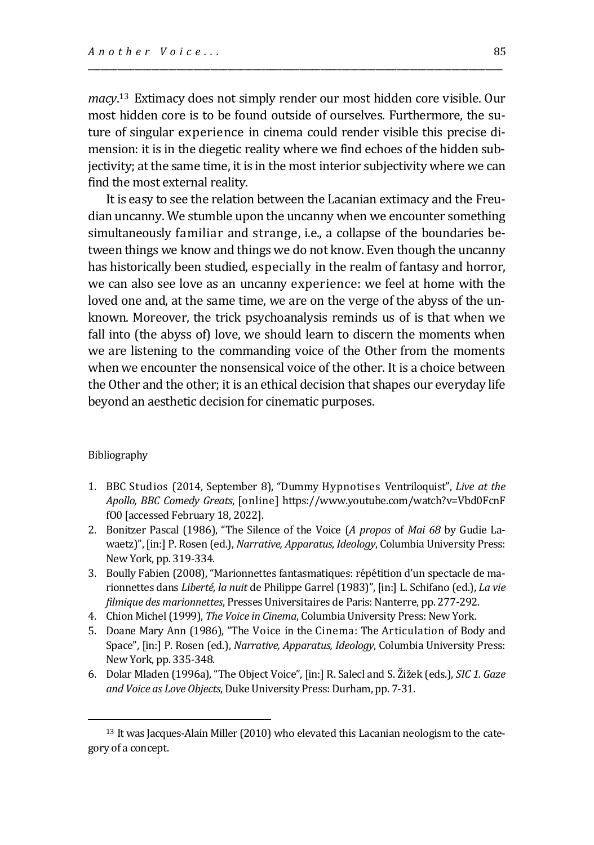*macy*. <sup>13</sup>Extimacy does not simply render our most hidden core visible. Our most hidden core is to be found outside of ourselves. Furthermore, the suture of singular experience in cinema could render visible this precise dimension: it is in the diegetic reality where we find echoes of the hidden subjectivity; at the same time, it is in the most interior subjectivity where we can find the most external reality.

\_\_\_\_\_\_\_\_\_\_\_\_\_\_\_\_\_\_\_\_\_\_\_\_\_\_\_\_\_\_\_\_\_\_\_\_\_\_\_\_\_\_\_\_\_\_\_\_\_\_\_\_\_\_\_\_\_\_\_\_\_\_\_\_\_\_\_\_\_\_\_\_\_\_\_\_\_\_\_\_\_\_\_\_\_\_\_\_\_\_\_\_\_\_\_\_\_\_

It is easy to see the relation between the Lacanian extimacy and the Freudian uncanny. We stumble upon the uncanny when we encounter something simultaneously familiar and strange, i.e., a collapse of the boundaries between things we know and things we do not know. Even though the uncanny has historically been studied, especially in the realm of fantasy and horror, we can also see love as an uncanny experience: we feel at home with the loved one and, at the same time, we are on the verge of the abyss of the unknown. Moreover, the trick psychoanalysis reminds us of is that when we fall into (the abyss of) love, we should learn to discern the moments when we are listening to the commanding voice of the Other from the moments when we encounter the nonsensical voice of the other. It is a choice between the Other and the other; it is an ethical decision that shapes our everyday life beyond an aesthetic decision for cinematic purposes.

#### Bibliography

- 1. BBC Studios (2014, September 8), "Dummy Hypnotises Ventriloquist", *Live at the Apollo, BBC Comedy Greats*, [online] https://www.youtube.com/watch?v=Vbd0FcnF fO0 [accessed February 18, 2022].
- 2. Bonitzer Pascal (1986), "The Silence of the Voice (*A propos* of *Mai 68* by Gudie Lawaetz)", [in:] P. Rosen (ed.), *Narrative, Apparatus, Ideology*, Columbia University Press: New York, pp. 319-334.
- 3. Boully Fabien (2008), "Marionnettes fantasmatiques: répétition d'un spectacle de marionnettes dans *Liberté, la nuit* de Philippe Garrel (1983)", [in:] L. Schifano (ed.), *La vie filmique des marionnettes*, Presses Universitaires de Paris: Nanterre, pp. 277-292.
- 4. Chion Michel (1999), *The Voice in Cinema*, Columbia University Press: New York.
- 5. Doane Mary Ann (1986), "The Voice in the Cinema: The Articulation of Body and Space", [in:] P. Rosen (ed.), *Narrative, Apparatus, Ideology*, Columbia University Press: New York, pp. 335-348.
- 6. Dolar Mladen (1996a), "The Object Voice", [in:] R. Salecl and S. Žižek (eds.), *SIC 1. Gaze and Voice as Love Objects*, Duke University Press: Durham, pp. 7-31.

<sup>13</sup> It was Jacques-Alain Miller (2010) who elevated this Lacanian neologism to the category of a concept.